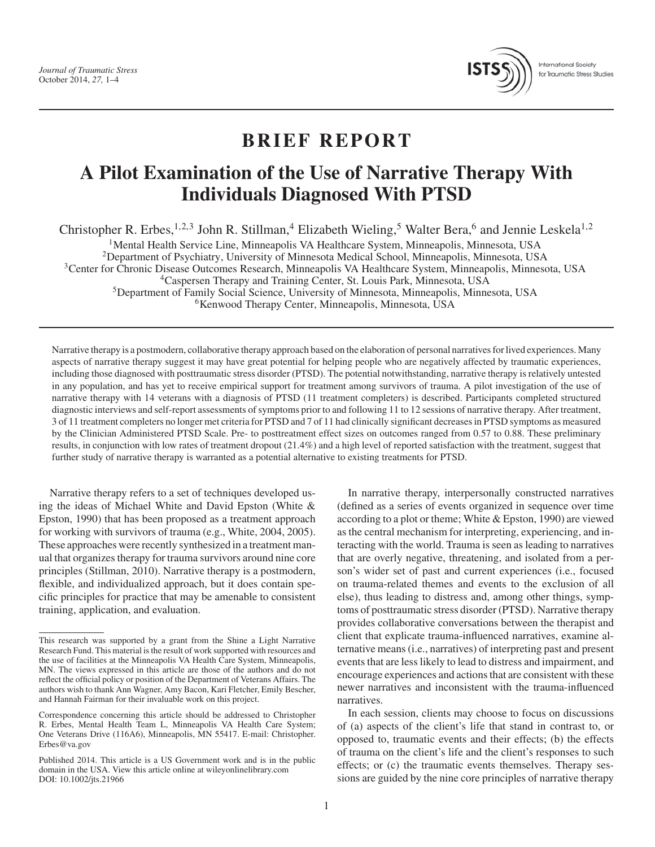*Journal of Traumatic Stress* October 2014, *27,* 1–4



**International Society** for Traumatic Stress Studies

# **BRIEF REPORT**

# **A Pilot Examination of the Use of Narrative Therapy With Individuals Diagnosed With PTSD**

Christopher R. Erbes,<sup>1,2,3</sup> John R. Stillman,<sup>4</sup> Elizabeth Wieling,<sup>5</sup> Walter Bera,<sup>6</sup> and Jennie Leskela<sup>1,2</sup>

<sup>1</sup>Mental Health Service Line, Minneapolis VA Healthcare System, Minneapolis, Minnesota, USA

<sup>2</sup>Department of Psychiatry, University of Minnesota Medical School, Minneapolis, Minnesota, USA

3Center for Chronic Disease Outcomes Research, Minneapolis VA Healthcare System, Minneapolis, Minnesota, USA

4Caspersen Therapy and Training Center, St. Louis Park, Minnesota, USA 5Department of Family Social Science, University of Minnesota, Minneapolis, Minnesota, USA

<sup>6</sup>Kenwood Therapy Center, Minneapolis, Minnesota, USA

Narrative therapy is a postmodern, collaborative therapy approach based on the elaboration of personal narratives for lived experiences. Many aspects of narrative therapy suggest it may have great potential for helping people who are negatively affected by traumatic experiences, including those diagnosed with posttraumatic stress disorder (PTSD). The potential notwithstanding, narrative therapy is relatively untested in any population, and has yet to receive empirical support for treatment among survivors of trauma. A pilot investigation of the use of narrative therapy with 14 veterans with a diagnosis of PTSD (11 treatment completers) is described. Participants completed structured diagnostic interviews and self-report assessments of symptoms prior to and following 11 to 12 sessions of narrative therapy. After treatment, 3 of 11 treatment completers no longer met criteria for PTSD and 7 of 11 had clinically significant decreases in PTSD symptoms as measured by the Clinician Administered PTSD Scale. Pre- to posttreatment effect sizes on outcomes ranged from 0.57 to 0.88. These preliminary results, in conjunction with low rates of treatment dropout (21.4%) and a high level of reported satisfaction with the treatment, suggest that further study of narrative therapy is warranted as a potential alternative to existing treatments for PTSD.

Narrative therapy refers to a set of techniques developed using the ideas of Michael White and David Epston (White & Epston, 1990) that has been proposed as a treatment approach for working with survivors of trauma (e.g., White, 2004, 2005). These approaches were recently synthesized in a treatment manual that organizes therapy for trauma survivors around nine core principles (Stillman, 2010). Narrative therapy is a postmodern, flexible, and individualized approach, but it does contain specific principles for practice that may be amenable to consistent training, application, and evaluation.

In narrative therapy, interpersonally constructed narratives (defined as a series of events organized in sequence over time according to a plot or theme; White & Epston, 1990) are viewed as the central mechanism for interpreting, experiencing, and interacting with the world. Trauma is seen as leading to narratives that are overly negative, threatening, and isolated from a person's wider set of past and current experiences (i.e., focused on trauma-related themes and events to the exclusion of all else), thus leading to distress and, among other things, symptoms of posttraumatic stress disorder (PTSD). Narrative therapy provides collaborative conversations between the therapist and client that explicate trauma-influenced narratives, examine alternative means (i.e., narratives) of interpreting past and present events that are less likely to lead to distress and impairment, and encourage experiences and actions that are consistent with these newer narratives and inconsistent with the trauma-influenced narratives.

In each session, clients may choose to focus on discussions of (a) aspects of the client's life that stand in contrast to, or opposed to, traumatic events and their effects; (b) the effects of trauma on the client's life and the client's responses to such effects; or (c) the traumatic events themselves. Therapy sessions are guided by the nine core principles of narrative therapy

This research was supported by a grant from the Shine a Light Narrative Research Fund. This material is the result of work supported with resources and the use of facilities at the Minneapolis VA Health Care System, Minneapolis, MN. The views expressed in this article are those of the authors and do not reflect the official policy or position of the Department of Veterans Affairs. The authors wish to thank Ann Wagner, Amy Bacon, Kari Fletcher, Emily Bescher, and Hannah Fairman for their invaluable work on this project.

Correspondence concerning this article should be addressed to Christopher R. Erbes, Mental Health Team L, Minneapolis VA Health Care System; One Veterans Drive (116A6), Minneapolis, MN 55417. E-mail: Christopher. Erbes@va.gov

Published 2014. This article is a US Government work and is in the public domain in the USA. View this article online at wileyonlinelibrary.com DOI: 10.1002/jts.21966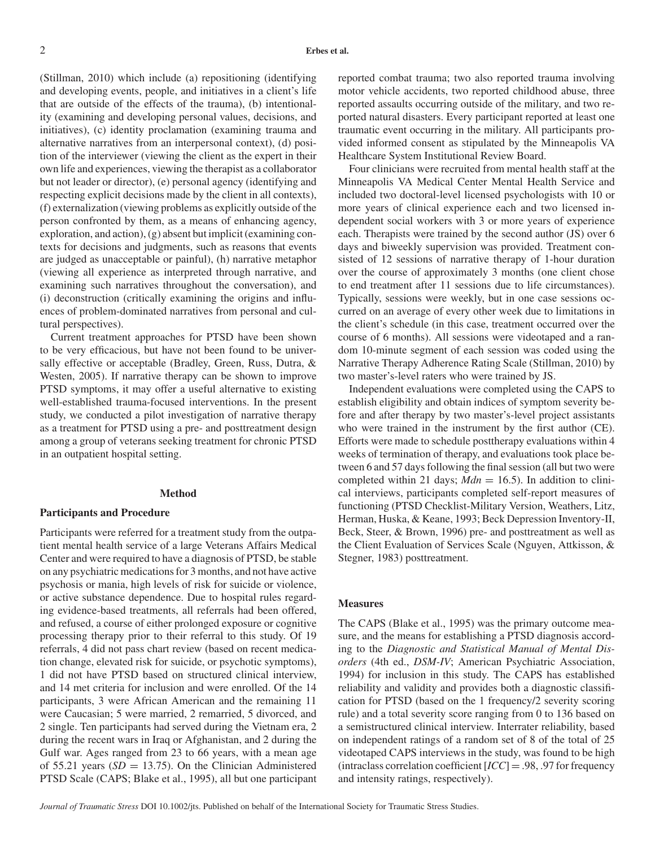(Stillman, 2010) which include (a) repositioning (identifying and developing events, people, and initiatives in a client's life that are outside of the effects of the trauma), (b) intentionality (examining and developing personal values, decisions, and initiatives), (c) identity proclamation (examining trauma and alternative narratives from an interpersonal context), (d) position of the interviewer (viewing the client as the expert in their own life and experiences, viewing the therapist as a collaborator but not leader or director), (e) personal agency (identifying and respecting explicit decisions made by the client in all contexts), (f) externalization (viewing problems as explicitly outside of the person confronted by them, as a means of enhancing agency, exploration, and action), (g) absent but implicit (examining contexts for decisions and judgments, such as reasons that events are judged as unacceptable or painful), (h) narrative metaphor (viewing all experience as interpreted through narrative, and examining such narratives throughout the conversation), and (i) deconstruction (critically examining the origins and influences of problem-dominated narratives from personal and cultural perspectives).

Current treatment approaches for PTSD have been shown to be very efficacious, but have not been found to be universally effective or acceptable (Bradley, Green, Russ, Dutra, & Westen, 2005). If narrative therapy can be shown to improve PTSD symptoms, it may offer a useful alternative to existing well-established trauma-focused interventions. In the present study, we conducted a pilot investigation of narrative therapy as a treatment for PTSD using a pre- and posttreatment design among a group of veterans seeking treatment for chronic PTSD in an outpatient hospital setting.

# **Method**

### **Participants and Procedure**

Participants were referred for a treatment study from the outpatient mental health service of a large Veterans Affairs Medical Center and were required to have a diagnosis of PTSD, be stable on any psychiatric medications for 3 months, and not have active psychosis or mania, high levels of risk for suicide or violence, or active substance dependence. Due to hospital rules regarding evidence-based treatments, all referrals had been offered, and refused, a course of either prolonged exposure or cognitive processing therapy prior to their referral to this study. Of 19 referrals, 4 did not pass chart review (based on recent medication change, elevated risk for suicide, or psychotic symptoms), 1 did not have PTSD based on structured clinical interview, and 14 met criteria for inclusion and were enrolled. Of the 14 participants, 3 were African American and the remaining 11 were Caucasian; 5 were married, 2 remarried, 5 divorced, and 2 single. Ten participants had served during the Vietnam era, 2 during the recent wars in Iraq or Afghanistan, and 2 during the Gulf war. Ages ranged from 23 to 66 years, with a mean age of 55.21 years  $(SD = 13.75)$ . On the Clinician Administered PTSD Scale (CAPS; Blake et al., 1995), all but one participant

reported combat trauma; two also reported trauma involving motor vehicle accidents, two reported childhood abuse, three reported assaults occurring outside of the military, and two reported natural disasters. Every participant reported at least one traumatic event occurring in the military. All participants provided informed consent as stipulated by the Minneapolis VA Healthcare System Institutional Review Board.

Four clinicians were recruited from mental health staff at the Minneapolis VA Medical Center Mental Health Service and included two doctoral-level licensed psychologists with 10 or more years of clinical experience each and two licensed independent social workers with 3 or more years of experience each. Therapists were trained by the second author (JS) over 6 days and biweekly supervision was provided. Treatment consisted of 12 sessions of narrative therapy of 1-hour duration over the course of approximately 3 months (one client chose to end treatment after 11 sessions due to life circumstances). Typically, sessions were weekly, but in one case sessions occurred on an average of every other week due to limitations in the client's schedule (in this case, treatment occurred over the course of 6 months). All sessions were videotaped and a random 10-minute segment of each session was coded using the Narrative Therapy Adherence Rating Scale (Stillman, 2010) by two master's-level raters who were trained by JS.

Independent evaluations were completed using the CAPS to establish eligibility and obtain indices of symptom severity before and after therapy by two master's-level project assistants who were trained in the instrument by the first author (CE). Efforts were made to schedule posttherapy evaluations within 4 weeks of termination of therapy, and evaluations took place between 6 and 57 days following the final session (all but two were completed within 21 days;  $Mdn = 16.5$ ). In addition to clinical interviews, participants completed self-report measures of functioning (PTSD Checklist-Military Version, Weathers, Litz, Herman, Huska, & Keane, 1993; Beck Depression Inventory-II, Beck, Steer, & Brown, 1996) pre- and posttreatment as well as the Client Evaluation of Services Scale (Nguyen, Attkisson, & Stegner, 1983) posttreatment.

#### **Measures**

The CAPS (Blake et al., 1995) was the primary outcome measure, and the means for establishing a PTSD diagnosis according to the *Diagnostic and Statistical Manual of Mental Disorders* (4th ed., *DSM-IV*; American Psychiatric Association, 1994) for inclusion in this study. The CAPS has established reliability and validity and provides both a diagnostic classification for PTSD (based on the 1 frequency/2 severity scoring rule) and a total severity score ranging from 0 to 136 based on a semistructured clinical interview. Interrater reliability, based on independent ratings of a random set of 8 of the total of 25 videotaped CAPS interviews in the study, was found to be high (intraclass correlation coefficient [*ICC*] = .98, .97 for frequency and intensity ratings, respectively).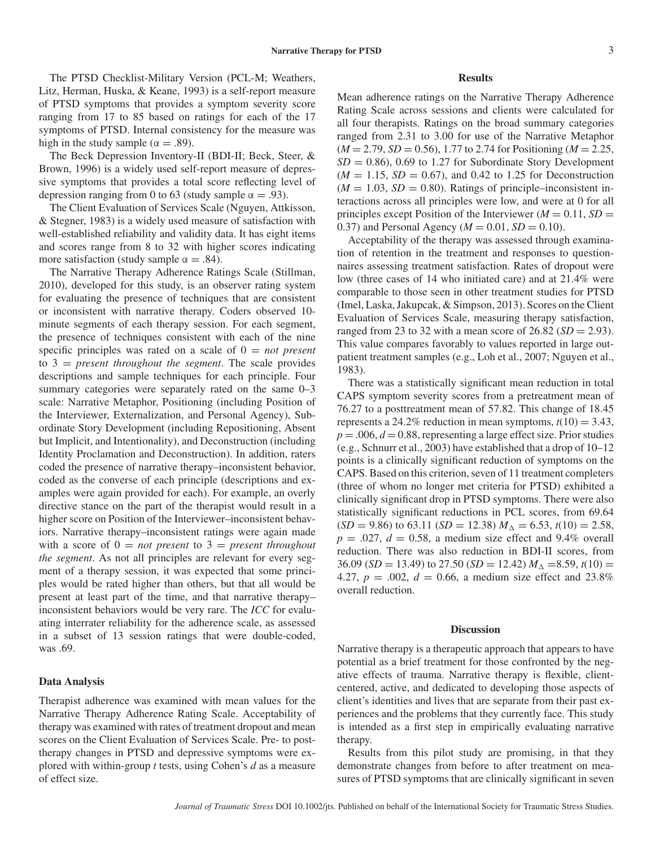The PTSD Checklist-Military Version (PCL-M; Weathers, Litz, Herman, Huska, & Keane, 1993) is a self-report measure of PTSD symptoms that provides a symptom severity score ranging from 17 to 85 based on ratings for each of the 17 symptoms of PTSD. Internal consistency for the measure was high in the study sample ( $\alpha = .89$ ).

The Beck Depression Inventory-II (BDI-II; Beck, Steer, & Brown, 1996) is a widely used self-report measure of depressive symptoms that provides a total score reflecting level of depression ranging from 0 to 63 (study sample  $\alpha = .93$ ).

The Client Evaluation of Services Scale (Nguyen, Attkisson, & Stegner, 1983) is a widely used measure of satisfaction with well-established reliability and validity data. It has eight items and scores range from 8 to 32 with higher scores indicating more satisfaction (study sample  $\alpha = .84$ ).

The Narrative Therapy Adherence Ratings Scale (Stillman, 2010), developed for this study, is an observer rating system for evaluating the presence of techniques that are consistent or inconsistent with narrative therapy. Coders observed 10 minute segments of each therapy session. For each segment, the presence of techniques consistent with each of the nine specific principles was rated on a scale of 0 = *not present* to 3 = *present throughout the segment*. The scale provides descriptions and sample techniques for each principle. Four summary categories were separately rated on the same 0–3 scale: Narrative Metaphor, Positioning (including Position of the Interviewer, Externalization, and Personal Agency), Subordinate Story Development (including Repositioning, Absent but Implicit, and Intentionality), and Deconstruction (including Identity Proclamation and Deconstruction). In addition, raters coded the presence of narrative therapy–inconsistent behavior, coded as the converse of each principle (descriptions and examples were again provided for each). For example, an overly directive stance on the part of the therapist would result in a higher score on Position of the Interviewer–inconsistent behaviors. Narrative therapy–inconsistent ratings were again made with a score of  $0 = not present$  to  $3 = present$  *throughout the segment*. As not all principles are relevant for every segment of a therapy session, it was expected that some principles would be rated higher than others, but that all would be present at least part of the time, and that narrative therapy– inconsistent behaviors would be very rare. The *ICC* for evaluating interrater reliability for the adherence scale, as assessed in a subset of 13 session ratings that were double-coded, was .69.

# **Data Analysis**

Therapist adherence was examined with mean values for the Narrative Therapy Adherence Rating Scale. Acceptability of therapy was examined with rates of treatment dropout and mean scores on the Client Evaluation of Services Scale. Pre- to posttherapy changes in PTSD and depressive symptoms were explored with within-group *t* tests, using Cohen's *d* as a measure of effect size.

# **Results**

Mean adherence ratings on the Narrative Therapy Adherence Rating Scale across sessions and clients were calculated for all four therapists. Ratings on the broad summary categories ranged from 2.31 to 3.00 for use of the Narrative Metaphor  $(M = 2.79, SD = 0.56)$ , 1.77 to 2.74 for Positioning  $(M = 2.25,$  $SD = 0.86$ , 0.69 to 1.27 for Subordinate Story Development  $(M = 1.15, SD = 0.67)$ , and 0.42 to 1.25 for Deconstruction  $(M = 1.03, SD = 0.80)$ . Ratings of principle–inconsistent interactions across all principles were low, and were at 0 for all principles except Position of the Interviewer  $(M = 0.11, SD =$ 0.37) and Personal Agency ( $M = 0.01$ ,  $SD = 0.10$ ).

Acceptability of the therapy was assessed through examination of retention in the treatment and responses to questionnaires assessing treatment satisfaction. Rates of dropout were low (three cases of 14 who initiated care) and at 21.4% were comparable to those seen in other treatment studies for PTSD (Imel, Laska, Jakupcak, & Simpson, 2013). Scores on the Client Evaluation of Services Scale, measuring therapy satisfaction, ranged from 23 to 32 with a mean score of  $26.82$  (*SD* = 2.93). This value compares favorably to values reported in large outpatient treatment samples (e.g., Loh et al., 2007; Nguyen et al., 1983).

There was a statistically significant mean reduction in total CAPS symptom severity scores from a pretreatment mean of 76.27 to a posttreatment mean of 57.82. This change of 18.45 represents a 24.2% reduction in mean symptoms,  $t(10) = 3.43$ ,  $p = 0.006$ ,  $d = 0.88$ , representing a large effect size. Prior studies (e.g., Schnurr et al., 2003) have established that a drop of 10–12 points is a clinically significant reduction of symptoms on the CAPS. Based on this criterion, seven of 11 treatment completers (three of whom no longer met criteria for PTSD) exhibited a clinically significant drop in PTSD symptoms. There were also statistically significant reductions in PCL scores, from 69.64  $(SD = 9.86)$  to 63.11  $(SD = 12.38)$   $M_{\Delta} = 6.53$ ,  $t(10) = 2.58$ ,  $p = .027$ ,  $d = 0.58$ , a medium size effect and 9.4% overall reduction. There was also reduction in BDI-II scores, from  $36.09$  (*SD* = 13.49) to 27.50 (*SD* = 12.42)  $M_{\Delta}$  =8.59, *t*(10) = 4.27,  $p = .002$ ,  $d = 0.66$ , a medium size effect and 23.8% overall reduction.

### **Discussion**

Narrative therapy is a therapeutic approach that appears to have potential as a brief treatment for those confronted by the negative effects of trauma. Narrative therapy is flexible, clientcentered, active, and dedicated to developing those aspects of client's identities and lives that are separate from their past experiences and the problems that they currently face. This study is intended as a first step in empirically evaluating narrative therapy.

Results from this pilot study are promising, in that they demonstrate changes from before to after treatment on measures of PTSD symptoms that are clinically significant in seven